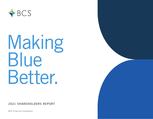

# Making Blue Better.

2021 SHAREHOLDERS REPORT

BCS Financial Corporation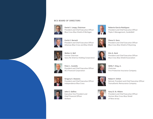#### BCS BOARD OF DIRECTORS



**Daniel J. Loepp, Chairman** President and Chief Executive Officer Blue Cross Blue Shield of Michigan



**Curtis E. Barnett** President and Chief Executive Officer Arkansas Blue Cross and Blue Shield



**Walter A. Bell** Former Chairman Swiss Re America Holding Corporation



**Roberto García-Rodríguez** President and Chief Executive Officer Triple-S Management, GuideWell



**Diane G. Gore** President and Chief Executive Officer Blue Cross Blue Shield of Wyoming



**Kim A. Keck** President and Chief Executive Officer Blue Cross Blue Shield Association







**Willis T. King, Jr.** Chairman First Protective Insurance Company



**Robert F. Orlich** Retired, President and Chief Executive Officer Transatlantic Reinsurance Company



**Gary D. St. Hilaire**  President and Chief Executive Officer Horizon Blue Cross Blue Shield of New Jersey



**Gregory E. Deavens** President and Chief Executive Officer Independence Blue Cross



**John E. Gallina** Executive Vice President and Chief Financial Officer Anthem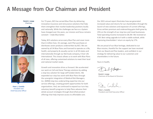## A Message from Our Chairman and President

**Daniel J. Loepp** Chairman





**Peter L. Costello** President and Chief Executive Officer

For 73 years, BCS has served Blue Plans by delivering innovative insurance and reinsurance solutions that help them strengthen their market leadership positions locally and nationally. While the challenges we face as a System have changed over the years, our mission and focus remains constant – make Blue better.

Today, BCS solutions serve every Blue Plan and cover more than 6 million lives. On average, each Plan purchases or distributes seven products underwritten by BCS. We are owned by all 34 Blue Plans and licensed to operate as a life, health, and property & casualty carrier in all 50 states and internationally through our Bermuda company, 4 Ever Life International. This chassis allows us to work with Blue Plans of all sizes, offering customized solutions to meet their local and national market needs.

Growth and innovation drive us forward. We accelerated our work on Cell and Gene Therapy solutions by adding a stop loss solution for large self-funded clients. We expanded our stop loss work with Blue Plans through the synergistic integration of Medical Risk Managers, Inc. (MRM) stop loss underwriting expertise into our service offerings, creating growth opportunities for both organizations. And, we continued to expand our turn-key voluntary benefit programs to help Plans advance their whole account strategies through diversified product offerings that help improve access to affordable care.

Our 2021 annual report illustrates how we generated increased value and returns for our shareholders through the launch of new solutions and expansion of current offerings. Gross written premium and underwriting gains both grew by 25% on the strength of our stop loss and travel businesses. Total operating income increased to \$8.2M. We received an A.M. Best rating upgrade to A with a stable outlook, while improving shareholders' return on equity by 17%.

We are proud of our Blue heritage, dedicated to our Blue mission, thankful for the support we have received from our Board and Plan leaders, and confident in our strategy for delivering value to our customers and shareholders in the future.

Yours in health,

Jail 1 Joepp

**Daniel J. Loepp** Chairman of the Board of Directors

Pt. Cotil

**Peter L. Costello** President and Chief Executive Officer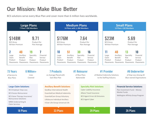## Our Mission: Make Blue Better

BCS solutions serve every Blue Plan and cover more than 6 million lives worldwide.



18 Plans 26 Plans 29 Plans 29 Plans 29 Plans 26 Plans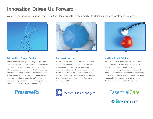## Innovation Drives Us Forward

We deliver innovative solutions that help Blue Plans strengthen their market leadership positions locally and nationally.



### **Cell and Gene Therapy Solutions**

The advanced cell and gene therapy (CGT) market continues to grow at a rapid rate and more employers are considering ways to cap these emerging risks. We have accelerated our work in the CGT space by launching innovative and first-to-market solutions: PreserveRx Excess of Loss (including gene therapy rider) for Blue Plans and Stop Loss GT – a high deductible stop loss solution with added protection against CGT costs for large self-funded clients.





#### **Stop Loss Expansion**

We expanded our stop loss work with Blue Plans through the synergistic integration of MRM stop loss underwriting expertise into our service offerings, creating growth opportunities for both organizations. Our combined scale makes BCS the sixth largest stop loss underwriter in the Blue System, providing solutions to help Plans grow their stop loss blocks.





#### **Ancillary Benefit Solutions**

We continued to expand our turn-key voluntary benefit programs to help Blue Plans advance their whole account strategies. In total, our comprehensive program addressed large, mid, small, and individual market opportunities through our partnership with LifeSecure. These diversified product offerings enable Plans to grow market share and improve access to affordable care.

> **Vifesecure EssentialCare®**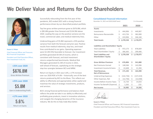## We Deliver Value and Returns for Our Shareholders



**Susan A. Pickar** Chief Financial Officer and Treasurer, BCS Financial Corporation

President and Chief Executive Officer, Plan Investment Fund, Inc.

> **+25% over 2020**  \$676.8M Gross Written Premium

**+25% over 2020**  \$5.8M Gain in Underwriting Profit

> **+17% over 2020**  5.6% Return on Equity

Successfully rebounding from the first year of the pandemic, BCS ended 2021 with a strong financial performance driven by our diversified product portfolio.

Top line gross written premium grew to \$676.8M, which is \$85.8M greater than forecast and \$134.9M above 2020. Leading the way on the positive variance are the travel, commercial cyber, and medical indemnity lines.

Underwriting gains of \$5.8M represent a 25% positive variance from both the forecast and prior year. Positive results from medical indemnity, stop loss, and travel lines contributed to our gains. Operating expenses were \$2.2M (5%) favorable to forecast. Our investment portfolio generated \$9.5M of income, which is consistent with forecast, and total investment returns outperformed benchmarks. Medical Risk Managers generated \$1.3M of income in 2021, well ahead of forecast, capitalizing on the strategic stop loss synergies between BCS and MRM.

Return on Equity in 2021 was 5.6%, a 17% increase over our 2020 ROE of 4.8% – historically, one of the best returns produced by BCS to the Blues. This reflects our ability to effectively and appropriately utilize capital and maximize the value of strategic investments, products, and services.

BCS's strong financial performance and balance sheet reflects the pride we take in our ability to effectively and profitably grow products, invest in innovative solutions, and navigate the changing dynamics of the insurance industry. We do this to help make Blue better.

#### **Consolidated Financial Information**

|                                             |            |                                         | \$ in thousands |
|---------------------------------------------|------------|-----------------------------------------|-----------------|
|                                             | 2021       |                                         | 2020            |
|                                             |            |                                         |                 |
| \$                                          | 444,906    | \$                                      | 449,907         |
| \$                                          | 413,726    | \$                                      | 382,000         |
| \$                                          | 419,906    | \$                                      | 346,168         |
| Ś                                           | 1,278,538  | \$                                      | 1,178,075       |
| <b>Liabilities and Shareholders' Equity</b> |            |                                         |                 |
| \$                                          | 972,173    | \$                                      | 878,669         |
| \$                                          | 306,365    | \$                                      | 299,406         |
| \$                                          | 1,278,538  | Ś.                                      | 1,178,075       |
| \$                                          | 676,806    | \$                                      | 541,880         |
| \$                                          | 148,584    | \$                                      | 142,096         |
| \$                                          | 22,608     | \$                                      | 21,394          |
| \$                                          | 171,192    | \$                                      | 163,490         |
| \$                                          | (142, 736) | \$                                      | (137, 419)      |
| \$                                          | (12, 736)  | \$                                      | (12, 038)       |
| \$                                          | 15,720     | \$                                      | 14,033          |
| \$                                          | 1,265      | \$                                      | 233             |
| \$                                          | 16,985     | Ś                                       | 14,266          |
|                                             |            | December 31, 2021 and 2020 (GAAP basis) |                 |

#### **Susan A. Pickar**

Chief Financial Officer and Treasurer, BCS Financial Corporation President and Chief Executive Officer, Plan Investment Fund, Inc.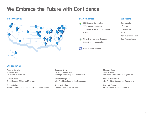## We Embrace the Future with Confidence



#### **Blue Ownership BCS Companies**

- BCS Financial Corporation BCS Insurance Company BCS Financial Services Corporation BCS Re
- 4 Ever Life Insurance Company 4 Ever Life International Limited

⋛<br>⋛<br>⋚ Medical Risk Managers, Inc.

#### **BCS Assets**

RiskNavigator LifeSecure EssentialCare GeoBlue Plan Investment Fund Blue Venture Funds

#### **BCS Leadership**

**Peter L. Costello** President and Chief Executive Officer

**Susan A. Pickar** Chief Financial Officer and Treasurer

**Chris S. Bailey** Senior Vice President, Sales and Market Development **James A. Drew** Senior Vice President, Strategy, Marketing, and Performance

**Wendell Ferguson** Vice President, Information Technology

**Terry M. Hackett** General Counsel and Secretary **Mehb A. Khoja** Chief Actuary President, Medical Risk Managers, Inc.

**Chris A. Kurtenbach** Vice President, Service and Operations

**Patrick O'Rourke** Vice President, Human Resources